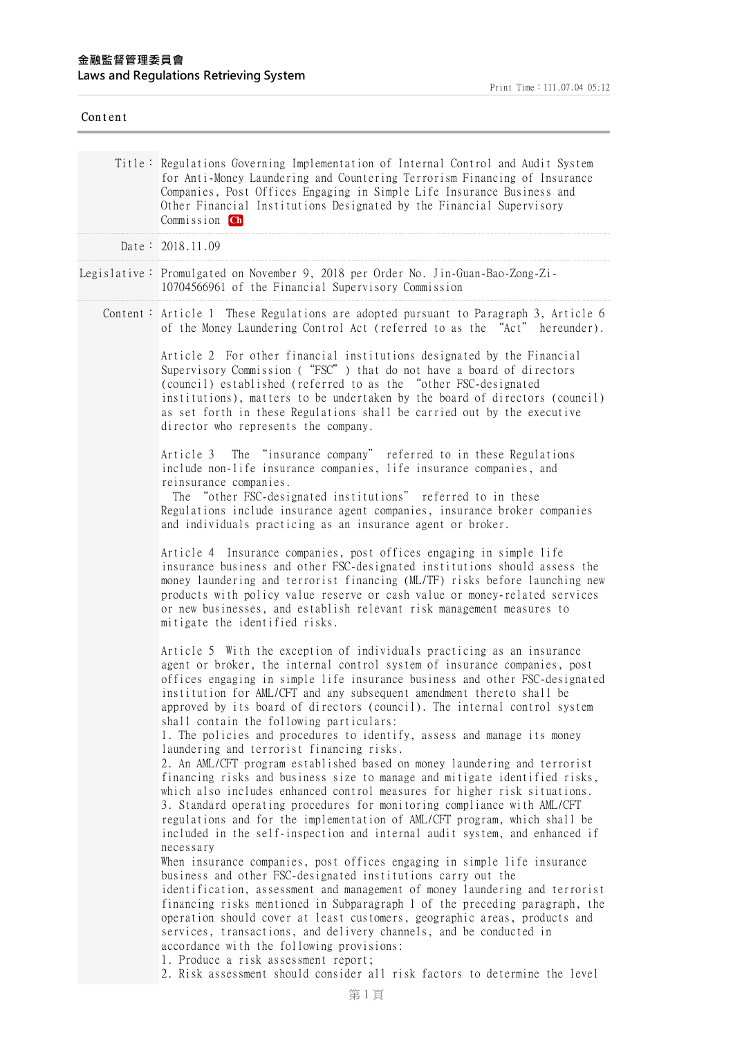| Content |                                                                                                                                                                                                                                                                                                                                                                                                                                                                                                                                                                                                                                                                                                                                                                                                                                                                                                                                                                                                                                                                                                                                                                                                                                                                                                                                                                                                                                                                                                                                                                                                                                                                                         |
|---------|-----------------------------------------------------------------------------------------------------------------------------------------------------------------------------------------------------------------------------------------------------------------------------------------------------------------------------------------------------------------------------------------------------------------------------------------------------------------------------------------------------------------------------------------------------------------------------------------------------------------------------------------------------------------------------------------------------------------------------------------------------------------------------------------------------------------------------------------------------------------------------------------------------------------------------------------------------------------------------------------------------------------------------------------------------------------------------------------------------------------------------------------------------------------------------------------------------------------------------------------------------------------------------------------------------------------------------------------------------------------------------------------------------------------------------------------------------------------------------------------------------------------------------------------------------------------------------------------------------------------------------------------------------------------------------------------|
|         | Title: Regulations Governing Implementation of Internal Control and Audit System<br>for Anti-Money Laundering and Countering Terrorism Financing of Insurance<br>Companies, Post Offices Engaging in Simple Life Insurance Business and<br>Other Financial Institutions Designated by the Financial Supervisory<br>Commission Ch                                                                                                                                                                                                                                                                                                                                                                                                                                                                                                                                                                                                                                                                                                                                                                                                                                                                                                                                                                                                                                                                                                                                                                                                                                                                                                                                                        |
|         | Date: 2018.11.09                                                                                                                                                                                                                                                                                                                                                                                                                                                                                                                                                                                                                                                                                                                                                                                                                                                                                                                                                                                                                                                                                                                                                                                                                                                                                                                                                                                                                                                                                                                                                                                                                                                                        |
|         | Legislative: Promulgated on November 9, 2018 per Order No. Jin-Guan-Bao-Zong-Zi-<br>10704566961 of the Financial Supervisory Commission                                                                                                                                                                                                                                                                                                                                                                                                                                                                                                                                                                                                                                                                                                                                                                                                                                                                                                                                                                                                                                                                                                                                                                                                                                                                                                                                                                                                                                                                                                                                                 |
|         | Content: Article 1 These Regulations are adopted pursuant to Paragraph 3, Article 6<br>of the Money Laundering Control Act (referred to as the "Act" hereunder).                                                                                                                                                                                                                                                                                                                                                                                                                                                                                                                                                                                                                                                                                                                                                                                                                                                                                                                                                                                                                                                                                                                                                                                                                                                                                                                                                                                                                                                                                                                        |
|         | Article 2 For other financial institutions designated by the Financial<br>Supervisory Commission ("FSC") that do not have a board of directors<br>(council) established (referred to as the "other FSC-designated<br>institutions), matters to be undertaken by the board of directors (council)<br>as set forth in these Regulations shall be carried out by the executive<br>director who represents the company.                                                                                                                                                                                                                                                                                                                                                                                                                                                                                                                                                                                                                                                                                                                                                                                                                                                                                                                                                                                                                                                                                                                                                                                                                                                                     |
|         | Article 3 The "insurance company" referred to in these Regulations<br>include non-life insurance companies, life insurance companies, and<br>reinsurance companies.<br>The "other FSC-designated institutions" referred to in these<br>Regulations include insurance agent companies, insurance broker companies<br>and individuals practicing as an insurance agent or broker.                                                                                                                                                                                                                                                                                                                                                                                                                                                                                                                                                                                                                                                                                                                                                                                                                                                                                                                                                                                                                                                                                                                                                                                                                                                                                                         |
|         | Article 4 Insurance companies, post offices engaging in simple life<br>insurance business and other FSC-designated institutions should assess the<br>money laundering and terrorist financing (ML/TF) risks before launching new<br>products with policy value reserve or cash value or money-related services<br>or new businesses, and establish relevant risk management measures to<br>mitigate the identified risks.                                                                                                                                                                                                                                                                                                                                                                                                                                                                                                                                                                                                                                                                                                                                                                                                                                                                                                                                                                                                                                                                                                                                                                                                                                                               |
|         | Article 5 With the exception of individuals practicing as an insurance<br>agent or broker, the internal control system of insurance companies, post<br>offices engaging in simple life insurance business and other FSC-designated<br>institution for AML/CFT and any subsequent amendment thereto shall be<br>approved by its board of directors (council). The internal control system<br>shall contain the following particulars:<br>1. The policies and procedures to identify, assess and manage its money<br>laundering and terrorist financing risks.<br>2. An AML/CFT program established based on money laundering and terrorist<br>financing risks and business size to manage and mitigate identified risks,<br>which also includes enhanced control measures for higher risk situations.<br>3. Standard operating procedures for monitoring compliance with AML/CFT<br>regulations and for the implementation of AML/CFT program, which shall be<br>included in the self-inspection and internal audit system, and enhanced if<br>necessary<br>When insurance companies, post offices engaging in simple life insurance<br>business and other FSC-designated institutions carry out the<br>identification, assessment and management of money laundering and terrorist<br>financing risks mentioned in Subparagraph 1 of the preceding paragraph, the<br>operation should cover at least customers, geographic areas, products and<br>services, transactions, and delivery channels, and be conducted in<br>accordance with the following provisions:<br>1. Produce a risk assessment report;<br>2. Risk assessment should consider all risk factors to determine the level |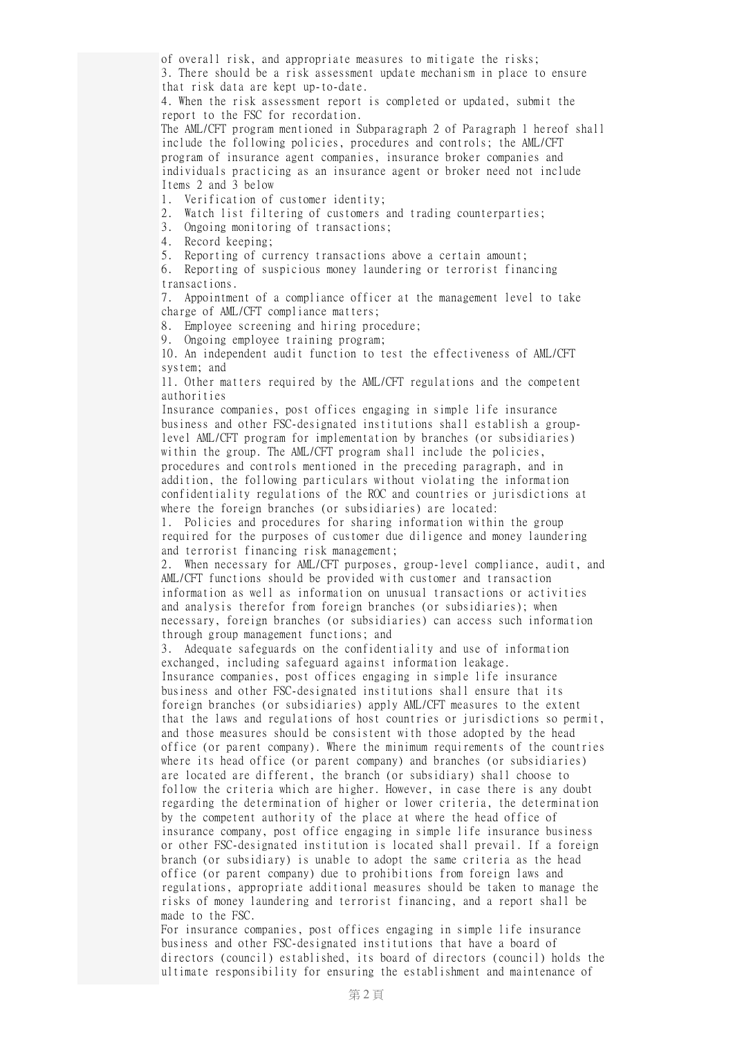of overall risk, and appropriate measures to mitigate the risks; 3. There should be a risk assessment update mechanism in place to ensure that risk data are kept up-to-date.

4. When the risk assessment report is completed or updated, submit the report to the FSC for recordation.

The AML/CFT program mentioned in Subparagraph 2 of Paragraph 1 hereof shall include the following policies, procedures and controls; the AML/CFT program of insurance agent companies, insurance broker companies and individuals practicing as an insurance agent or broker need not include Items 2 and 3 below

1. Verification of customer identity;

2. Watch list filtering of customers and trading counterparties;

3. Ongoing monitoring of transactions;

4. Record keeping;

5. Reporting of currency transactions above a certain amount;

6. Reporting of suspicious money laundering or terrorist financing transactions.

7. Appointment of a compliance officer at the management level to take charge of AML/CFT compliance matters;

8. Employee screening and hiring procedure;

9. Ongoing employee training program;

10. An independent audit function to test the effectiveness of AML/CFT system; and

11. Other matters required by the AML/CFT regulations and the competent authorities

Insurance companies, post offices engaging in simple life insurance business and other FSC-designated institutions shall establish a grouplevel AML/CFT program for implementation by branches (or subsidiaries) within the group. The AML/CFT program shall include the policies, procedures and controls mentioned in the preceding paragraph, and in addition, the following particulars without violating the information confidentiality regulations of the ROC and countries or jurisdictions at where the foreign branches (or subsidiaries) are located:

1. Policies and procedures for sharing information within the group required for the purposes of customer due diligence and money laundering and terrorist financing risk management;

2. When necessary for AML/CFT purposes, group-level compliance, audit, and AML/CFT functions should be provided with customer and transaction information as well as information on unusual transactions or activities and analysis therefor from foreign branches (or subsidiaries); when necessary, foreign branches (or subsidiaries) can access such information through group management functions; and

3. Adequate safeguards on the confidentiality and use of information exchanged, including safeguard against information leakage.

Insurance companies, post offices engaging in simple life insurance business and other FSC-designated institutions shall ensure that its foreign branches (or subsidiaries) apply AML/CFT measures to the extent that the laws and regulations of host countries or jurisdictions so permit, and those measures should be consistent with those adopted by the head office (or parent company). Where the minimum requirements of the countries where its head office (or parent company) and branches (or subsidiaries) are located are different, the branch (or subsidiary) shall choose to follow the criteria which are higher. However, in case there is any doubt regarding the determination of higher or lower criteria, the determination by the competent authority of the place at where the head office of insurance company, post office engaging in simple life insurance business or other FSC-designated institution is located shall prevail. If a foreign branch (or subsidiary) is unable to adopt the same criteria as the head office (or parent company) due to prohibitions from foreign laws and regulations, appropriate additional measures should be taken to manage the risks of money laundering and terrorist financing, and a report shall be made to the FSC.

For insurance companies, post offices engaging in simple life insurance business and other FSC-designated institutions that have a board of directors (council) established, its board of directors (council) holds the ultimate responsibility for ensuring the establishment and maintenance of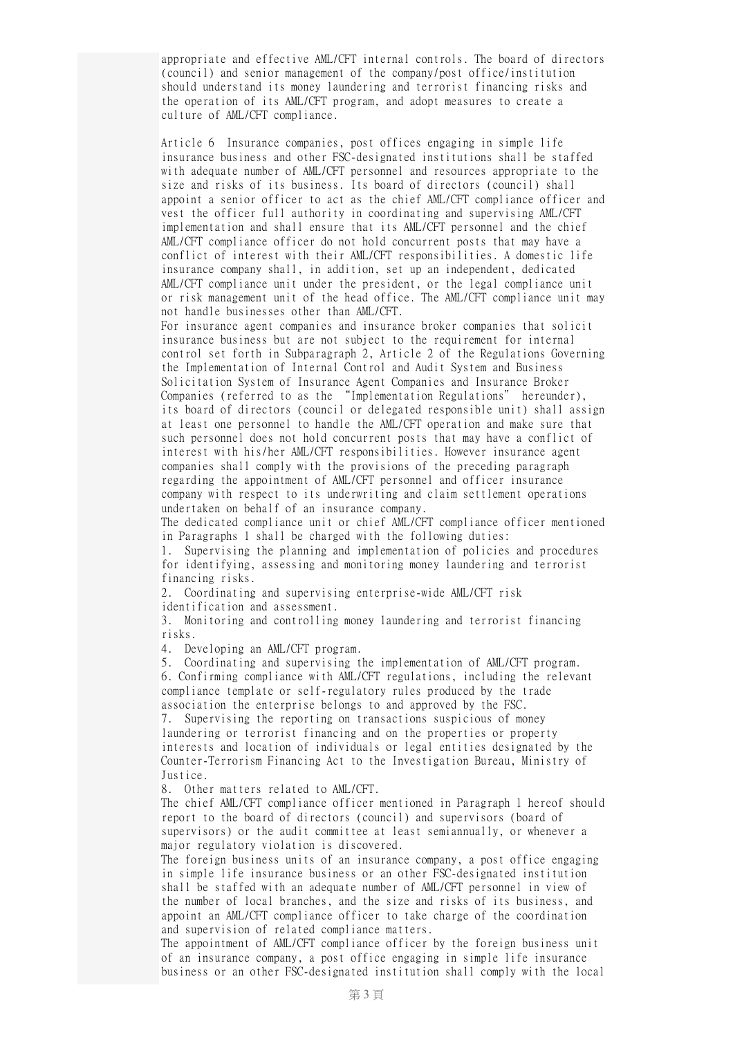appropriate and effective AML/CFT internal controls. The board of directors (council) and senior management of the company/post office/institution should understand its money laundering and terrorist financing risks and the operation of its AML/CFT program, and adopt measures to create a culture of AML/CFT compliance.

Article 6 Insurance companies, post offices engaging in simple life insurance business and other FSC-designated institutions shall be staffed with adequate number of AML/CFT personnel and resources appropriate to the size and risks of its business. Its board of directors (council) shall appoint a senior officer to act as the chief AML/CFT compliance officer and vest the officer full authority in coordinating and supervising AML/CFT implementation and shall ensure that its AML/CFT personnel and the chief AML/CFT compliance officer do not hold concurrent posts that may have a conflict of interest with their AML/CFT responsibilities. A domestic life insurance company shall, in addition, set up an independent, dedicated AML/CFT compliance unit under the president, or the legal compliance unit or risk management unit of the head office. The AML/CFT compliance unit may not handle businesses other than AML/CFT.

For insurance agent companies and insurance broker companies that solicit insurance business but are not subject to the requirement for internal control set forth in Subparagraph 2, Article 2 of the Regulations Governing the Implementation of Internal Control and Audit System and Business Solicitation System of Insurance Agent Companies and Insurance Broker Companies (referred to as the "Implementation Regulations" hereunder), its board of directors (council or delegated responsible unit) shall assign at least one personnel to handle the AML/CFT operation and make sure that such personnel does not hold concurrent posts that may have a conflict of interest with his/her AML/CFT responsibilities. However insurance agent companies shall comply with the provisions of the preceding paragraph regarding the appointment of AML/CFT personnel and officer insurance company with respect to its underwriting and claim settlement operations undertaken on behalf of an insurance company.

The dedicated compliance unit or chief AML/CFT compliance officer mentioned in Paragraphs 1 shall be charged with the following duties:

1. Supervising the planning and implementation of policies and procedures for identifying, assessing and monitoring money laundering and terrorist financing risks.

2. Coordinating and supervising enterprise-wide AML/CFT risk

identification and assessment.

3. Monitoring and controlling money laundering and terrorist financing risks.

4. Developing an AML/CFT program.

5. Coordinating and supervising the implementation of AML/CFT program. 6. Confirming compliance with AML/CFT regulations, including the relevant compliance template or self-regulatory rules produced by the trade association the enterprise belongs to and approved by the FSC.

7. Supervising the reporting on transactions suspicious of money laundering or terrorist financing and on the properties or property interests and location of individuals or legal entities designated by the Counter-Terrorism Financing Act to the Investigation Bureau, Ministry of Justice.

8. Other matters related to AML/CFT.

The chief AML/CFT compliance officer mentioned in Paragraph 1 hereof should report to the board of directors (council) and supervisors (board of supervisors) or the audit committee at least semiannually, or whenever a major regulatory violation is discovered.

The foreign business units of an insurance company, a post office engaging in simple life insurance business or an other FSC-designated institution shall be staffed with an adequate number of AML/CFT personnel in view of the number of local branches, and the size and risks of its business, and appoint an AML/CFT compliance officer to take charge of the coordination and supervision of related compliance matters.

The appointment of AML/CFT compliance officer by the foreign business unit of an insurance company, a post office engaging in simple life insurance business or an other FSC-designated institution shall comply with the local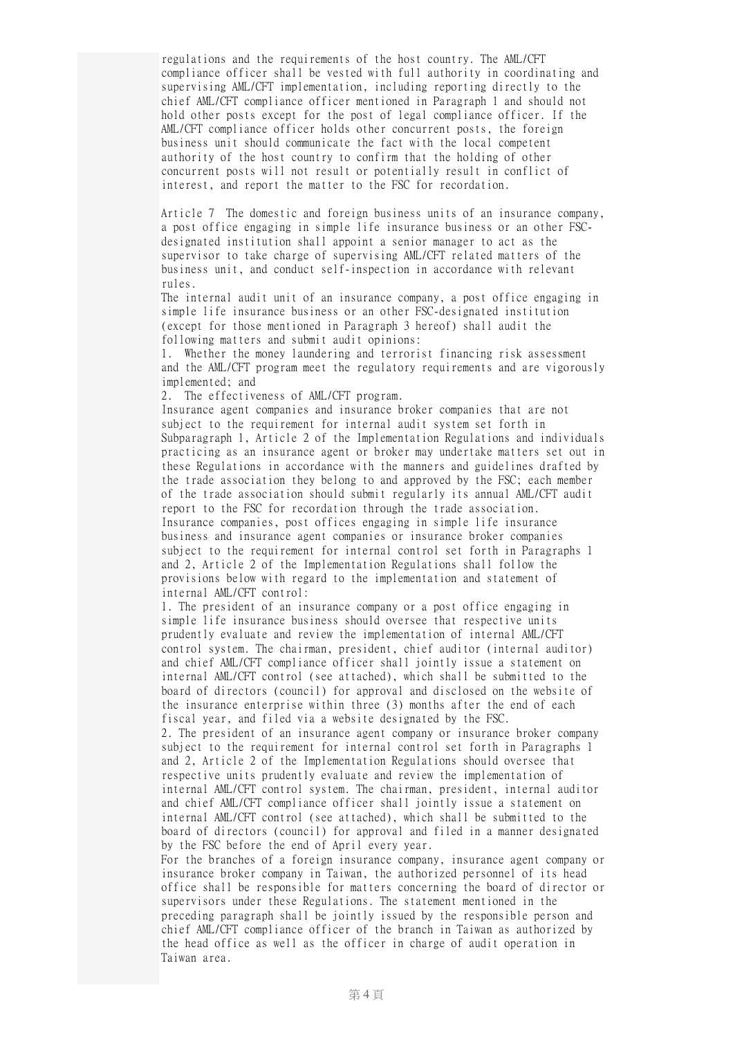regulations and the requirements of the host country. The AML/CFT compliance officer shall be vested with full authority in coordinating and supervising AML/CFT implementation, including reporting directly to the chief AML/CFT compliance officer mentioned in Paragraph 1 and should not hold other posts except for the post of legal compliance officer. If the AML/CFT compliance officer holds other concurrent posts, the foreign business unit should communicate the fact with the local competent authority of the host country to confirm that the holding of other concurrent posts will not result or potentially result in conflict of interest, and report the matter to the FSC for recordation.

Article 7 The domestic and foreign business units of an insurance company, a post office engaging in simple life insurance business or an other FSCdesignated institution shall appoint a senior manager to act as the supervisor to take charge of supervising AML/CFT related matters of the business unit, and conduct self-inspection in accordance with relevant rules.

The internal audit unit of an insurance company, a post office engaging in simple life insurance business or an other FSC-designated institution (except for those mentioned in Paragraph 3 hereof) shall audit the following matters and submit audit opinions:

1. Whether the money laundering and terrorist financing risk assessment and the AML/CFT program meet the regulatory requirements and are vigorously implemented; and

2. The effectiveness of AML/CFT program.

Insurance agent companies and insurance broker companies that are not subject to the requirement for internal audit system set forth in Subparagraph 1, Article 2 of the Implementation Regulations and individuals practicing as an insurance agent or broker may undertake matters set out in these Regulations in accordance with the manners and guidelines drafted by the trade association they belong to and approved by the FSC; each member of the trade association should submit regularly its annual AML/CFT audit report to the FSC for recordation through the trade association. Insurance companies, post offices engaging in simple life insurance business and insurance agent companies or insurance broker companies subject to the requirement for internal control set forth in Paragraphs 1 and 2, Article 2 of the Implementation Regulations shall follow the provisions below with regard to the implementation and statement of internal AML/CFT control:

1. The president of an insurance company or a post office engaging in simple life insurance business should oversee that respective units prudently evaluate and review the implementation of internal AML/CFT control system. The chairman, president, chief auditor (internal auditor) and chief AML/CFT compliance officer shall jointly issue a statement on internal AML/CFT control (see attached), which shall be submitted to the board of directors (council) for approval and disclosed on the website of the insurance enterprise within three (3) months after the end of each fiscal year, and filed via a website designated by the FSC.

2. The president of an insurance agent company or insurance broker company subject to the requirement for internal control set forth in Paragraphs 1 and 2, Article 2 of the Implementation Regulations should oversee that respective units prudently evaluate and review the implementation of internal AML/CFT control system. The chairman, president, internal auditor and chief AML/CFT compliance officer shall jointly issue a statement on internal AML/CFT control (see attached), which shall be submitted to the board of directors (council) for approval and filed in a manner designated by the FSC before the end of April every year.

For the branches of a foreign insurance company, insurance agent company or insurance broker company in Taiwan, the authorized personnel of its head office shall be responsible for matters concerning the board of director or supervisors under these Regulations. The statement mentioned in the preceding paragraph shall be jointly issued by the responsible person and chief AML/CFT compliance officer of the branch in Taiwan as authorized by the head office as well as the officer in charge of audit operation in Taiwan area.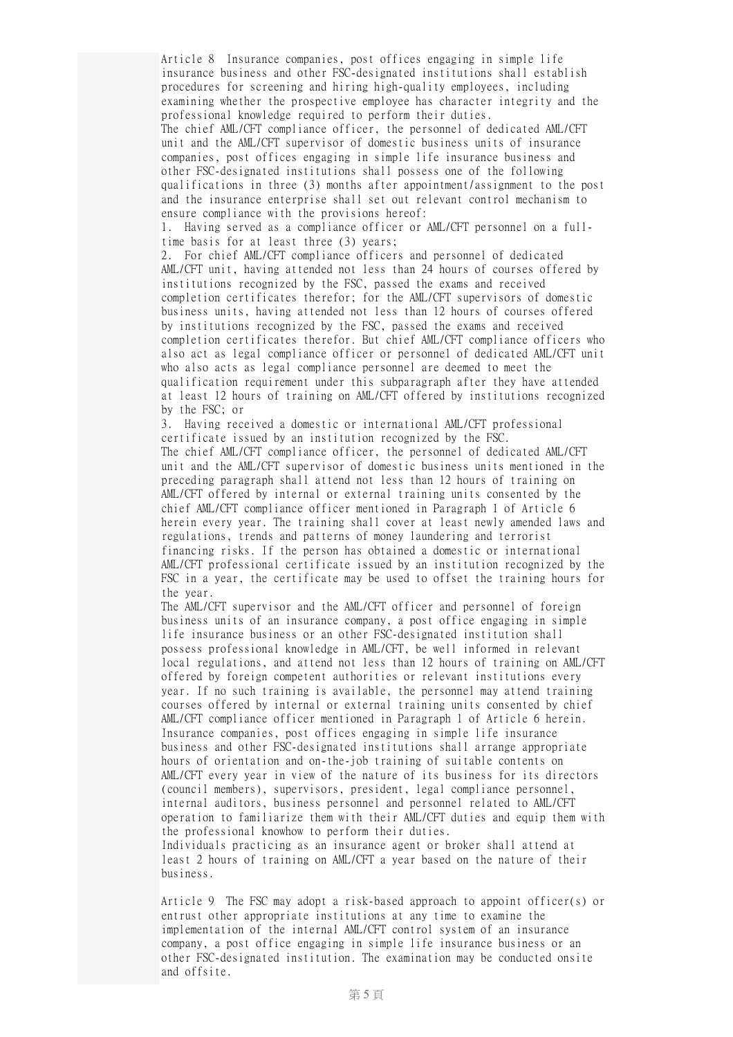Article 8 Insurance companies, post offices engaging in simple life insurance business and other FSC-designated institutions shall establish procedures for screening and hiring high-quality employees, including examining whether the prospective employee has character integrity and the professional knowledge required to perform their duties.

The chief AML/CFT compliance officer, the personnel of dedicated AML/CFT unit and the AML/CFT supervisor of domestic business units of insurance companies, post offices engaging in simple life insurance business and other FSC-designated institutions shall possess one of the following qualifications in three (3) months after appointment/assignment to the post and the insurance enterprise shall set out relevant control mechanism to ensure compliance with the provisions hereof:

1. Having served as a compliance officer or AML/CFT personnel on a fulltime basis for at least three (3) years;

2. For chief AML/CFT compliance officers and personnel of dedicated AML/CFT unit, having attended not less than 24 hours of courses offered by institutions recognized by the FSC, passed the exams and received completion certificates therefor; for the AML/CFT supervisors of domestic business units, having attended not less than 12 hours of courses offered by institutions recognized by the FSC, passed the exams and received completion certificates therefor. But chief AML/CFT compliance officers who also act as legal compliance officer or personnel of dedicated AML/CFT unit who also acts as legal compliance personnel are deemed to meet the qualification requirement under this subparagraph after they have attended at least 12 hours of training on AML/CFT offered by institutions recognized by the FSC; or

3. Having received a domestic or international AML/CFT professional certificate issued by an institution recognized by the FSC. The chief AML/CFT compliance officer, the personnel of dedicated AML/CFT unit and the AML/CFT supervisor of domestic business units mentioned in the preceding paragraph shall attend not less than 12 hours of training on AML/CFT offered by internal or external training units consented by the chief AML/CFT compliance officer mentioned in Paragraph 1 of Article 6 herein every year. The training shall cover at least newly amended laws and regulations, trends and patterns of money laundering and terrorist financing risks. If the person has obtained a domestic or international AML/CFT professional certificate issued by an institution recognized by the FSC in a year, the certificate may be used to offset the training hours for the year.

The AML/CFT supervisor and the AML/CFT officer and personnel of foreign business units of an insurance company, a post office engaging in simple life insurance business or an other FSC-designated institution shall possess professional knowledge in AML/CFT, be well informed in relevant local regulations, and attend not less than 12 hours of training on AML/CFT offered by foreign competent authorities or relevant institutions every year. If no such training is available, the personnel may attend training courses offered by internal or external training units consented by chief AML/CFT compliance officer mentioned in Paragraph 1 of Article 6 herein. Insurance companies, post offices engaging in simple life insurance business and other FSC-designated institutions shall arrange appropriate hours of orientation and on-the-job training of suitable contents on AML/CFT every year in view of the nature of its business for its directors (council members), supervisors, president, legal compliance personnel, internal auditors, business personnel and personnel related to AML/CFT operation to familiarize them with their AML/CFT duties and equip them with the professional knowhow to perform their duties. Individuals practicing as an insurance agent or broker shall attend at least 2 hours of training on AML/CFT a year based on the nature of their business.

Article 9 The FSC may adopt a risk-based approach to appoint officer(s) or entrust other appropriate institutions at any time to examine the implementation of the internal AML/CFT control system of an insurance company, a post office engaging in simple life insurance business or an other FSC-designated institution. The examination may be conducted onsite and offsite.